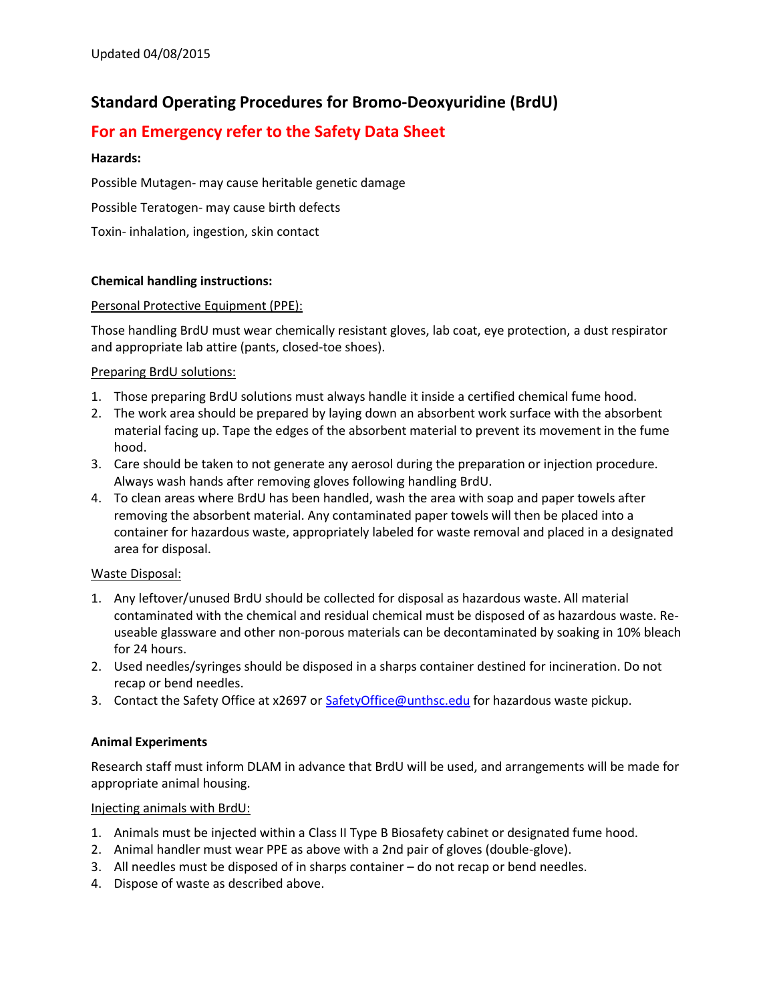# **Standard Operating Procedures for Bromo-Deoxyuridine (BrdU)**

## **For an Emergency refer to the Safety Data Sheet**

### **Hazards:**

Possible Mutagen- may cause heritable genetic damage

Possible Teratogen- may cause birth defects

Toxin- inhalation, ingestion, skin contact

## **Chemical handling instructions:**

## Personal Protective Equipment (PPE):

Those handling BrdU must wear chemically resistant gloves, lab coat, eye protection, a dust respirator and appropriate lab attire (pants, closed-toe shoes).

## Preparing BrdU solutions:

- 1. Those preparing BrdU solutions must always handle it inside a certified chemical fume hood.
- 2. The work area should be prepared by laying down an absorbent work surface with the absorbent material facing up. Tape the edges of the absorbent material to prevent its movement in the fume hood.
- 3. Care should be taken to not generate any aerosol during the preparation or injection procedure. Always wash hands after removing gloves following handling BrdU.
- 4. To clean areas where BrdU has been handled, wash the area with soap and paper towels after removing the absorbent material. Any contaminated paper towels will then be placed into a container for hazardous waste, appropriately labeled for waste removal and placed in a designated area for disposal.

#### Waste Disposal:

- 1. Any leftover/unused BrdU should be collected for disposal as hazardous waste. All material contaminated with the chemical and residual chemical must be disposed of as hazardous waste. Reuseable glassware and other non-porous materials can be decontaminated by soaking in 10% bleach for 24 hours.
- 2. Used needles/syringes should be disposed in a sharps container destined for incineration. Do not recap or bend needles.
- 3. Contact the Safety Office at x2697 or Safety Office @unthsc.edu for hazardous waste pickup.

#### **Animal Experiments**

Research staff must inform DLAM in advance that BrdU will be used, and arrangements will be made for appropriate animal housing.

#### Injecting animals with BrdU:

- 1. Animals must be injected within a Class II Type B Biosafety cabinet or designated fume hood.
- 2. Animal handler must wear PPE as above with a 2nd pair of gloves (double-glove).
- 3. All needles must be disposed of in sharps container do not recap or bend needles.
- 4. Dispose of waste as described above.